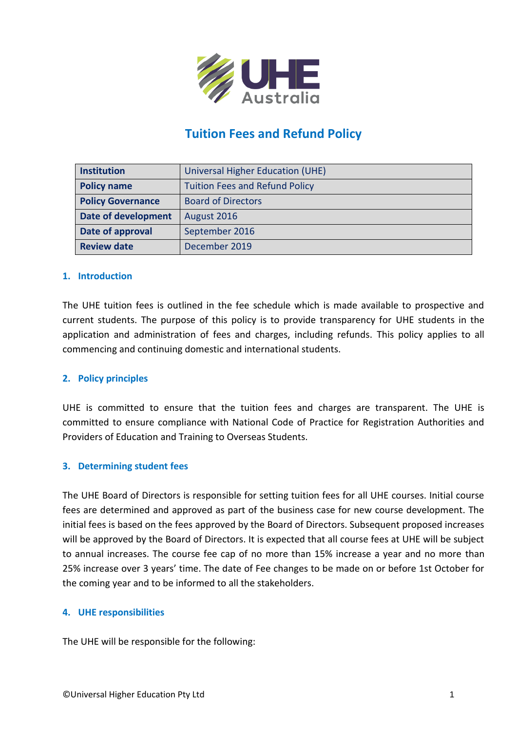

# **Tuition Fees and Refund Policy**

| <b>Institution</b>       | Universal Higher Education (UHE)      |  |
|--------------------------|---------------------------------------|--|
| <b>Policy name</b>       | <b>Tuition Fees and Refund Policy</b> |  |
| <b>Policy Governance</b> | <b>Board of Directors</b>             |  |
| Date of development      | August 2016                           |  |
| Date of approval         | September 2016                        |  |
| <b>Review date</b>       | December 2019                         |  |

#### **1. Introduction**

The UHE tuition fees is outlined in the fee schedule which is made available to prospective and current students. The purpose of this policy is to provide transparency for UHE students in the application and administration of fees and charges, including refunds. This policy applies to all commencing and continuing domestic and international students.

# **2. Policy principles**

UHE is committed to ensure that the tuition fees and charges are transparent. The UHE is committed to ensure compliance with National Code of Practice for Registration Authorities and Providers of Education and Training to Overseas Students.

#### **3. Determining student fees**

The UHE Board of Directors is responsible for setting tuition fees for all UHE courses. Initial course fees are determined and approved as part of the business case for new course development. The initial fees is based on the fees approved by the Board of Directors. Subsequent proposed increases will be approved by the Board of Directors. It is expected that all course fees at UHE will be subject to annual increases. The course fee cap of no more than 15% increase a year and no more than 25% increase over 3 years' time. The date of Fee changes to be made on or before 1st October for the coming year and to be informed to all the stakeholders.

#### **4. UHE responsibilities**

The UHE will be responsible for the following: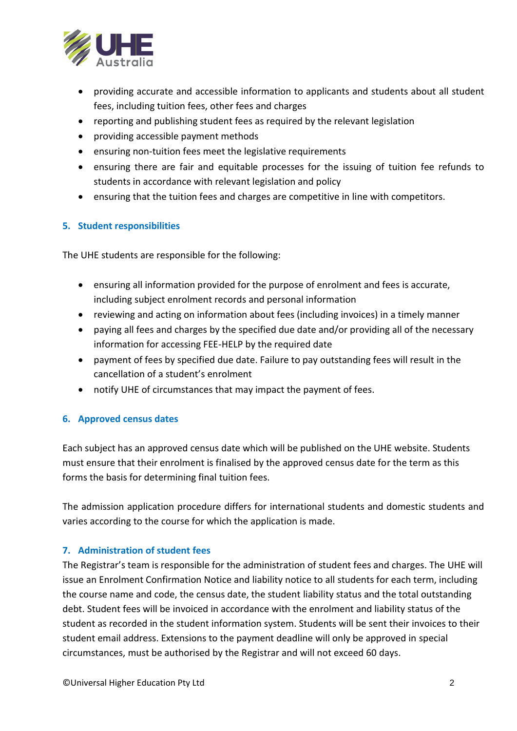

- providing accurate and accessible information to applicants and students about all student fees, including tuition fees, other fees and charges
- reporting and publishing student fees as required by the relevant legislation
- providing accessible payment methods
- ensuring non-tuition fees meet the legislative requirements
- ensuring there are fair and equitable processes for the issuing of tuition fee refunds to students in accordance with relevant legislation and policy
- ensuring that the tuition fees and charges are competitive in line with competitors.

# **5. Student responsibilities**

The UHE students are responsible for the following:

- ensuring all information provided for the purpose of enrolment and fees is accurate, including subject enrolment records and personal information
- reviewing and acting on information about fees (including invoices) in a timely manner
- paying all fees and charges by the specified due date and/or providing all of the necessary information for accessing FEE-HELP by the required date
- payment of fees by specified due date. Failure to pay outstanding fees will result in the cancellation of a student's enrolment
- notify UHE of circumstances that may impact the payment of fees.

# **6. Approved census dates**

Each subject has an approved census date which will be published on the UHE website. Students must ensure that their enrolment is finalised by the approved census date for the term as this forms the basis for determining final tuition fees.

The admission application procedure differs for international students and domestic students and varies according to the course for which the application is made.

# **7. Administration of student fees**

The Registrar's team is responsible for the administration of student fees and charges. The UHE will issue an Enrolment Confirmation Notice and liability notice to all students for each term, including the course name and code, the census date, the student liability status and the total outstanding debt. Student fees will be invoiced in accordance with the enrolment and liability status of the student as recorded in the student information system. Students will be sent their invoices to their student email address. Extensions to the payment deadline will only be approved in special circumstances, must be authorised by the Registrar and will not exceed 60 days.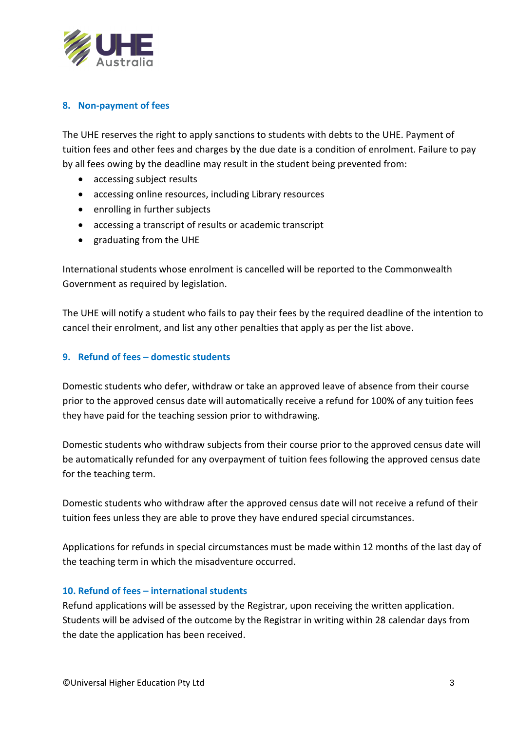

# **8. Non-payment of fees**

The UHE reserves the right to apply sanctions to students with debts to the UHE. Payment of tuition fees and other fees and charges by the due date is a condition of enrolment. Failure to pay by all fees owing by the deadline may result in the student being prevented from:

- accessing subject results
- accessing online resources, including Library resources
- enrolling in further subjects
- accessing a transcript of results or academic transcript
- graduating from the UHE

International students whose enrolment is cancelled will be reported to the Commonwealth Government as required by legislation.

The UHE will notify a student who fails to pay their fees by the required deadline of the intention to cancel their enrolment, and list any other penalties that apply as per the list above.

# **9. Refund of fees – domestic students**

Domestic students who defer, withdraw or take an approved leave of absence from their course prior to the approved census date will automatically receive a refund for 100% of any tuition fees they have paid for the teaching session prior to withdrawing.

Domestic students who withdraw subjects from their course prior to the approved census date will be automatically refunded for any overpayment of tuition fees following the approved census date for the teaching term.

Domestic students who withdraw after the approved census date will not receive a refund of their tuition fees unless they are able to prove they have endured special circumstances.

Applications for refunds in special circumstances must be made within 12 months of the last day of the teaching term in which the misadventure occurred.

# **10. Refund of fees – international students**

Refund applications will be assessed by the Registrar, upon receiving the written application. Students will be advised of the outcome by the Registrar in writing within 28 calendar days from the date the application has been received.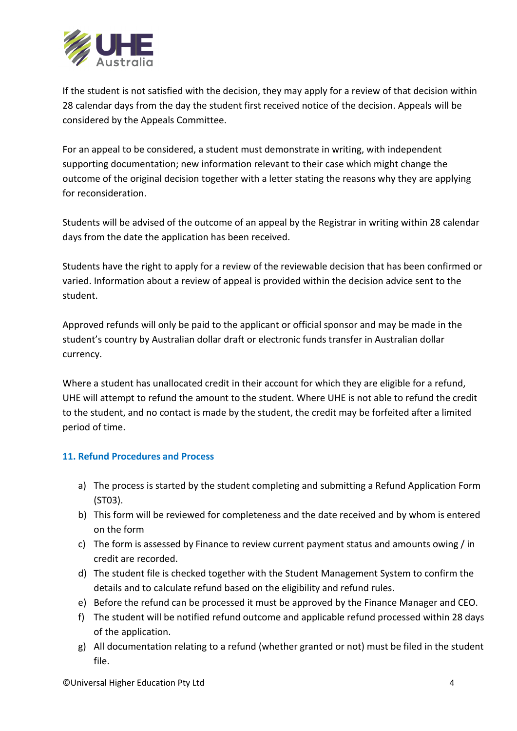

If the student is not satisfied with the decision, they may apply for a review of that decision within 28 calendar days from the day the student first received notice of the decision. Appeals will be considered by the Appeals Committee.

For an appeal to be considered, a student must demonstrate in writing, with independent supporting documentation; new information relevant to their case which might change the outcome of the original decision together with a letter stating the reasons why they are applying for reconsideration.

Students will be advised of the outcome of an appeal by the Registrar in writing within 28 calendar days from the date the application has been received.

Students have the right to apply for a review of the reviewable decision that has been confirmed or varied. Information about a review of appeal is provided within the decision advice sent to the student.

Approved refunds will only be paid to the applicant or official sponsor and may be made in the student's country by Australian dollar draft or electronic funds transfer in Australian dollar currency.

Where a student has unallocated credit in their account for which they are eligible for a refund, UHE will attempt to refund the amount to the student. Where UHE is not able to refund the credit to the student, and no contact is made by the student, the credit may be forfeited after a limited period of time.

# **11. Refund Procedures and Process**

- a) The process is started by the student completing and submitting a Refund Application Form (ST03).
- b) This form will be reviewed for completeness and the date received and by whom is entered on the form
- c) The form is assessed by Finance to review current payment status and amounts owing / in credit are recorded.
- d) The student file is checked together with the Student Management System to confirm the details and to calculate refund based on the eligibility and refund rules.
- e) Before the refund can be processed it must be approved by the Finance Manager and CEO.
- f) The student will be notified refund outcome and applicable refund processed within 28 days of the application.
- g) All documentation relating to a refund (whether granted or not) must be filed in the student file.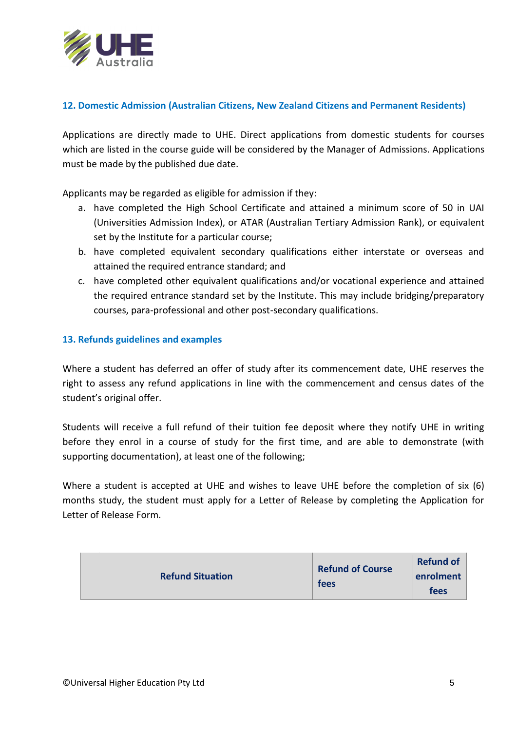

#### **12. Domestic Admission (Australian Citizens, New Zealand Citizens and Permanent Residents)**

Applications are directly made to UHE. Direct applications from domestic students for courses which are listed in the course guide will be considered by the Manager of Admissions. Applications must be made by the published due date.

Applicants may be regarded as eligible for admission if they:

- a. have completed the High School Certificate and attained a minimum score of 50 in UAI (Universities Admission Index), or ATAR (Australian Tertiary Admission Rank), or equivalent set by the Institute for a particular course;
- b. have completed equivalent secondary qualifications either interstate or overseas and attained the required entrance standard; and
- c. have completed other equivalent qualifications and/or vocational experience and attained the required entrance standard set by the Institute. This may include bridging/preparatory courses, para-professional and other post-secondary qualifications.

#### **13. Refunds guidelines and examples**

Where a student has deferred an offer of study after its commencement date, UHE reserves the right to assess any refund applications in line with the commencement and census dates of the student's original offer.

Students will receive a full refund of their tuition fee deposit where they notify UHE in writing before they enrol in a course of study for the first time, and are able to demonstrate (with supporting documentation), at least one of the following;

Where a student is accepted at UHE and wishes to leave UHE before the completion of six (6) months study, the student must apply for a Letter of Release by completing the Application for Letter of Release Form.

| <b>Refund Situation</b> | <b>Refund of Course</b><br>fees | <b>Refund of</b><br>enrolment<br>fees |
|-------------------------|---------------------------------|---------------------------------------|
|-------------------------|---------------------------------|---------------------------------------|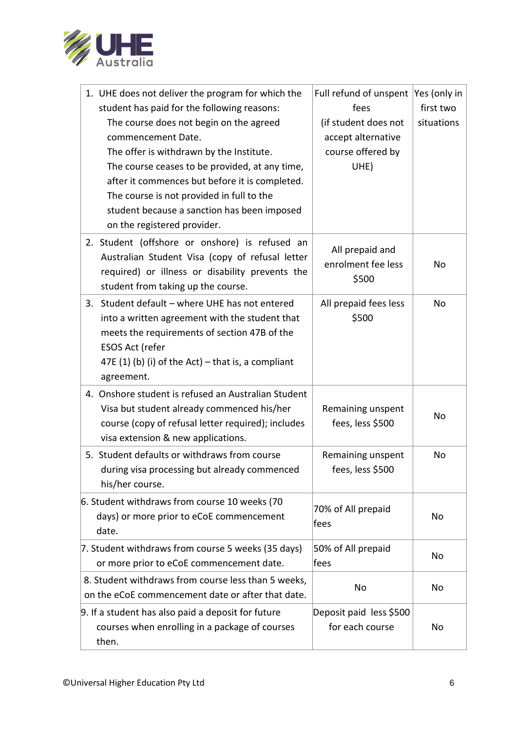

| 1. UHE does not deliver the program for which the<br>student has paid for the following reasons:<br>The course does not begin on the agreed<br>commencement Date.<br>The offer is withdrawn by the Institute.<br>The course ceases to be provided, at any time,<br>after it commences but before it is completed.<br>The course is not provided in full to the<br>student because a sanction has been imposed<br>on the registered provider. | Full refund of unspent<br>fees<br>(if student does not<br>accept alternative<br>course offered by<br>UHE) | Yes (only in<br>first two<br>situations |
|----------------------------------------------------------------------------------------------------------------------------------------------------------------------------------------------------------------------------------------------------------------------------------------------------------------------------------------------------------------------------------------------------------------------------------------------|-----------------------------------------------------------------------------------------------------------|-----------------------------------------|
| 2. Student (offshore or onshore) is refused an<br>Australian Student Visa (copy of refusal letter<br>required) or illness or disability prevents the<br>student from taking up the course.                                                                                                                                                                                                                                                   | All prepaid and<br>enrolment fee less<br>\$500                                                            | <b>No</b>                               |
| Student default - where UHE has not entered<br>3.<br>into a written agreement with the student that<br>meets the requirements of section 47B of the<br>ESOS Act (refer<br>47E (1) (b) (i) of the Act) – that is, a compliant<br>agreement.                                                                                                                                                                                                   | All prepaid fees less<br>\$500                                                                            | No                                      |
| 4. Onshore student is refused an Australian Student<br>Visa but student already commenced his/her<br>course (copy of refusal letter required); includes<br>visa extension & new applications.                                                                                                                                                                                                                                                | Remaining unspent<br>fees, less \$500                                                                     | No                                      |
| 5. Student defaults or withdraws from course<br>during visa processing but already commenced<br>his/her course.                                                                                                                                                                                                                                                                                                                              | Remaining unspent<br>fees, less \$500                                                                     | No                                      |
| 6. Student withdraws from course 10 weeks (70<br>days) or more prior to eCoE commencement<br>date.                                                                                                                                                                                                                                                                                                                                           | 70% of All prepaid<br>fees                                                                                | No                                      |
| 7. Student withdraws from course 5 weeks (35 days)<br>or more prior to eCoE commencement date.                                                                                                                                                                                                                                                                                                                                               | 50% of All prepaid<br> fees                                                                               | No                                      |
| 8. Student withdraws from course less than 5 weeks,<br>on the eCoE commencement date or after that date.                                                                                                                                                                                                                                                                                                                                     | No                                                                                                        | No                                      |
| 9. If a student has also paid a deposit for future<br>courses when enrolling in a package of courses<br>then.                                                                                                                                                                                                                                                                                                                                | Deposit paid less \$500<br>for each course                                                                | No                                      |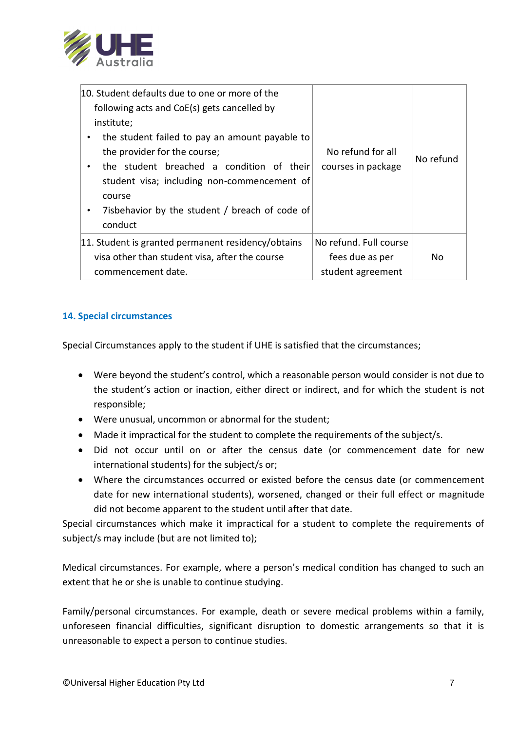

| 10. Student defaults due to one or more of the<br>following acts and CoE(s) gets cancelled by<br>institute;<br>the student failed to pay an amount payable to<br>the provider for the course;<br>the student breached a condition of their<br>student visa; including non-commencement of<br>course<br>7isbehavior by the student / breach of code of<br>conduct | No refund for all<br>courses in package                        | No refund |
|------------------------------------------------------------------------------------------------------------------------------------------------------------------------------------------------------------------------------------------------------------------------------------------------------------------------------------------------------------------|----------------------------------------------------------------|-----------|
| 11. Student is granted permanent residency/obtains<br>visa other than student visa, after the course<br>commencement date.                                                                                                                                                                                                                                       | No refund. Full course<br>fees due as per<br>student agreement | No.       |

# **14. Special circumstances**

Special Circumstances apply to the student if UHE is satisfied that the circumstances;

- Were beyond the student's control, which a reasonable person would consider is not due to the student's action or inaction, either direct or indirect, and for which the student is not responsible;
- Were unusual, uncommon or abnormal for the student;
- Made it impractical for the student to complete the requirements of the subject/s.
- Did not occur until on or after the census date (or commencement date for new international students) for the subject/s or;
- Where the circumstances occurred or existed before the census date (or commencement date for new international students), worsened, changed or their full effect or magnitude did not become apparent to the student until after that date.

Special circumstances which make it impractical for a student to complete the requirements of subject/s may include (but are not limited to);

Medical circumstances. For example, where a person's medical condition has changed to such an extent that he or she is unable to continue studying.

Family/personal circumstances. For example, death or severe medical problems within a family, unforeseen financial difficulties, significant disruption to domestic arrangements so that it is unreasonable to expect a person to continue studies.